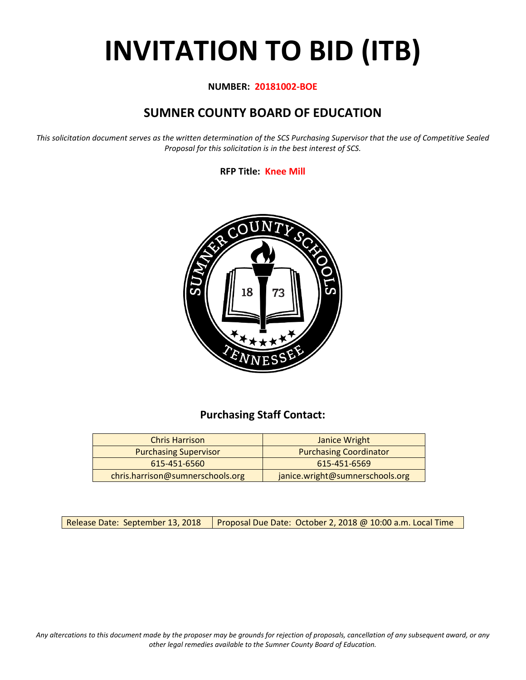# **INVITATION TO BID (ITB)**

#### **NUMBER: 20181002-BOE**

# **SUMNER COUNTY BOARD OF EDUCATION**

*This solicitation document serves as the written determination of the SCS Purchasing Supervisor that the use of Competitive Sealed Proposal for this solicitation is in the best interest of SCS.*

**RFP Title: Knee Mill**



## **Purchasing Staff Contact:**

| <b>Chris Harrison</b>            | Janice Wright                   |
|----------------------------------|---------------------------------|
| <b>Purchasing Supervisor</b>     | <b>Purchasing Coordinator</b>   |
| 615-451-6560                     | 615-451-6569                    |
| chris.harrison@sumnerschools.org | janice.wright@sumnerschools.org |

Release Date: September 13, 2018  $\parallel$  Proposal Due Date: October 2, 2018 @ 10:00 a.m. Local Time

*Any altercations to this document made by the proposer may be grounds for rejection of proposals, cancellation of any subsequent award, or any other legal remedies available to the Sumner County Board of Education.*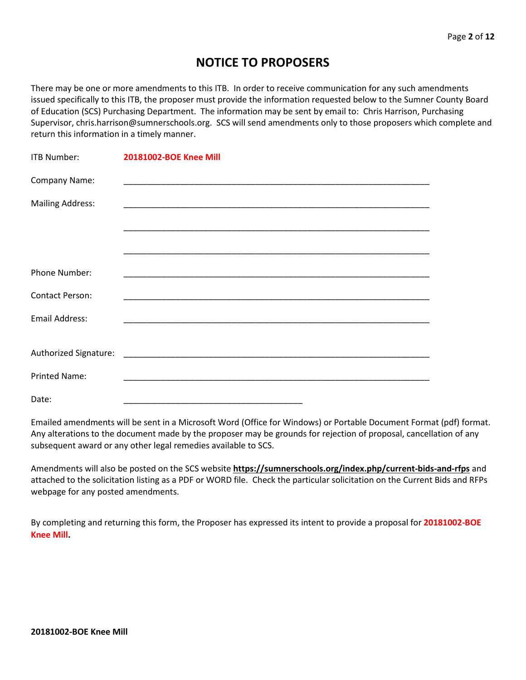## **NOTICE TO PROPOSERS**

There may be one or more amendments to this ITB. In order to receive communication for any such amendments issued specifically to this ITB, the proposer must provide the information requested below to the Sumner County Board of Education (SCS) Purchasing Department. The information may be sent by email to: Chris Harrison, Purchasing Supervisor, chris.harrison@sumnerschools.org. SCS will send amendments only to those proposers which complete and return this information in a timely manner.

| <b>ITB Number:</b>      | 20181002-BOE Knee Mill |
|-------------------------|------------------------|
| Company Name:           |                        |
| <b>Mailing Address:</b> |                        |
|                         |                        |
|                         |                        |
| Phone Number:           |                        |
| <b>Contact Person:</b>  |                        |
|                         |                        |
| <b>Email Address:</b>   |                        |
|                         |                        |
| <b>Printed Name:</b>    |                        |
| Date:                   |                        |

Emailed amendments will be sent in a Microsoft Word (Office for Windows) or Portable Document Format (pdf) format. Any alterations to the document made by the proposer may be grounds for rejection of proposal, cancellation of any subsequent award or any other legal remedies available to SCS.

Amendments will also be posted on the SCS website **https://sumnerschools.org/index.php/current-bids-and-rfps** and attached to the solicitation listing as a PDF or WORD file. Check the particular solicitation on the Current Bids and RFPs webpage for any posted amendments.

By completing and returning this form, the Proposer has expressed its intent to provide a proposal for **20181002-BOE Knee Mill.**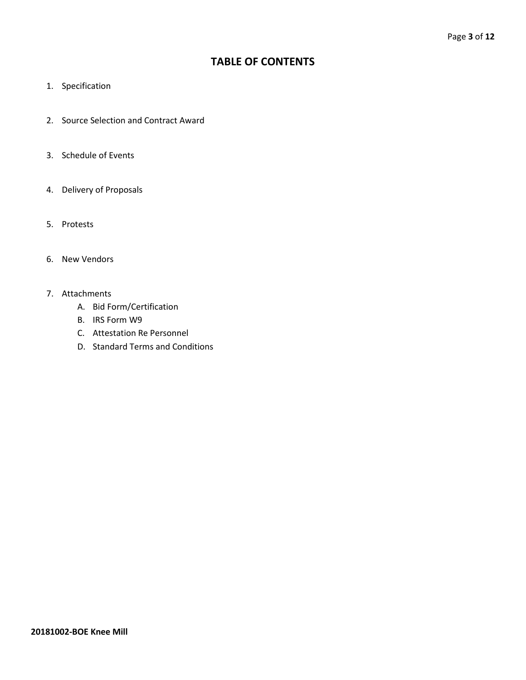## **TABLE OF CONTENTS**

- 1. Specification
- 2. Source Selection and Contract Award
- 3. Schedule of Events
- 4. Delivery of Proposals
- 5. Protests
- 6. New Vendors
- 7. Attachments
	- A. Bid Form/Certification
	- B. IRS Form W9
	- C. Attestation Re Personnel
	- D. Standard Terms and Conditions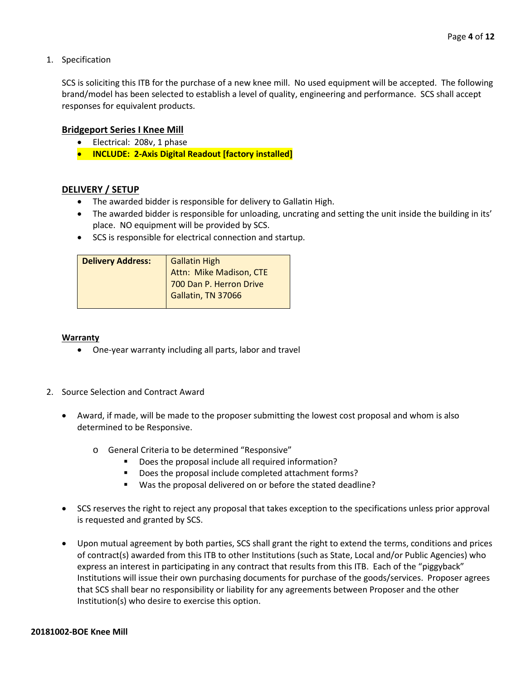1. Specification

SCS is soliciting this ITB for the purchase of a new knee mill. No used equipment will be accepted. The following brand/model has been selected to establish a level of quality, engineering and performance. SCS shall accept responses for equivalent products.

#### **Bridgeport Series I Knee Mill**

- Electrical: 208v, 1 phase
- **INCLUDE: 2-Axis Digital Readout [factory installed]**

#### **DELIVERY / SETUP**

- The awarded bidder is responsible for delivery to Gallatin High.
- The awarded bidder is responsible for unloading, uncrating and setting the unit inside the building in its' place. NO equipment will be provided by SCS.
- SCS is responsible for electrical connection and startup.

| Attn: Mike Madison, CTE<br>700 Dan P. Herron Drive<br>Gallatin, TN 37066 |
|--------------------------------------------------------------------------|
|                                                                          |

#### **Warranty**

- One-year warranty including all parts, labor and travel
- 2. Source Selection and Contract Award
	- Award, if made, will be made to the proposer submitting the lowest cost proposal and whom is also determined to be Responsive.
		- o General Criteria to be determined "Responsive"
			- Does the proposal include all required information?
			- Does the proposal include completed attachment forms?
			- Was the proposal delivered on or before the stated deadline?
	- SCS reserves the right to reject any proposal that takes exception to the specifications unless prior approval is requested and granted by SCS.
	- Upon mutual agreement by both parties, SCS shall grant the right to extend the terms, conditions and prices of contract(s) awarded from this ITB to other Institutions (such as State, Local and/or Public Agencies) who express an interest in participating in any contract that results from this ITB. Each of the "piggyback" Institutions will issue their own purchasing documents for purchase of the goods/services. Proposer agrees that SCS shall bear no responsibility or liability for any agreements between Proposer and the other Institution(s) who desire to exercise this option.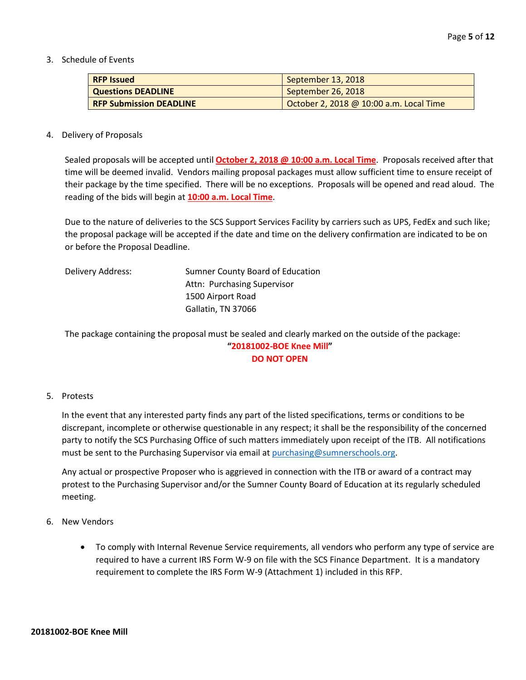3. Schedule of Events

| <b>RFP Issued</b>              | September 13, 2018                      |
|--------------------------------|-----------------------------------------|
| <b>Questions DEADLINE</b>      | September 26, 2018                      |
| <b>RFP Submission DEADLINE</b> | October 2, 2018 @ 10:00 a.m. Local Time |

#### 4. Delivery of Proposals

Sealed proposals will be accepted until **October 2, 2018 @ 10:00 a.m. Local Time**. Proposals received after that time will be deemed invalid. Vendors mailing proposal packages must allow sufficient time to ensure receipt of their package by the time specified. There will be no exceptions. Proposals will be opened and read aloud. The reading of the bids will begin at **10:00 a.m. Local Time**.

Due to the nature of deliveries to the SCS Support Services Facility by carriers such as UPS, FedEx and such like; the proposal package will be accepted if the date and time on the delivery confirmation are indicated to be on or before the Proposal Deadline.

| Delivery Address: | Sumner County Board of Education |
|-------------------|----------------------------------|
|                   | Attn: Purchasing Supervisor      |
|                   | 1500 Airport Road                |
|                   | Gallatin, TN 37066               |
|                   |                                  |

The package containing the proposal must be sealed and clearly marked on the outside of the package: **"20181002-BOE Knee Mill" DO NOT OPEN**

#### 5. Protests

In the event that any interested party finds any part of the listed specifications, terms or conditions to be discrepant, incomplete or otherwise questionable in any respect; it shall be the responsibility of the concerned party to notify the SCS Purchasing Office of such matters immediately upon receipt of the ITB. All notifications must be sent to the Purchasing Supervisor via email at [purchasing@sumnerschools.org.](mailto:purchasing@sumnerschools.org)

Any actual or prospective Proposer who is aggrieved in connection with the ITB or award of a contract may protest to the Purchasing Supervisor and/or the Sumner County Board of Education at its regularly scheduled meeting.

- 6. New Vendors
	- To comply with Internal Revenue Service requirements, all vendors who perform any type of service are required to have a current IRS Form W-9 on file with the SCS Finance Department. It is a mandatory requirement to complete the IRS Form W-9 (Attachment 1) included in this RFP.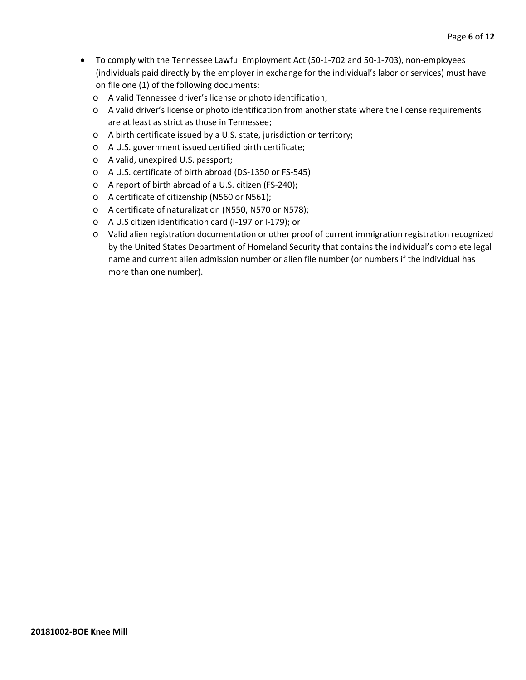- To comply with the Tennessee Lawful Employment Act (50-1-702 and 50-1-703), non-employees (individuals paid directly by the employer in exchange for the individual's labor or services) must have on file one (1) of the following documents:
	- o A valid Tennessee driver's license or photo identification;
	- o A valid driver's license or photo identification from another state where the license requirements are at least as strict as those in Tennessee;
	- o A birth certificate issued by a U.S. state, jurisdiction or territory;
	- o A U.S. government issued certified birth certificate;
	- o A valid, unexpired U.S. passport;
	- o A U.S. certificate of birth abroad (DS-1350 or FS-545)
	- o A report of birth abroad of a U.S. citizen (FS-240);
	- o A certificate of citizenship (N560 or N561);
	- o A certificate of naturalization (N550, N570 or N578);
	- o A U.S citizen identification card (I-197 or I-179); or
	- o Valid alien registration documentation or other proof of current immigration registration recognized by the United States Department of Homeland Security that contains the individual's complete legal name and current alien admission number or alien file number (or numbers if the individual has more than one number).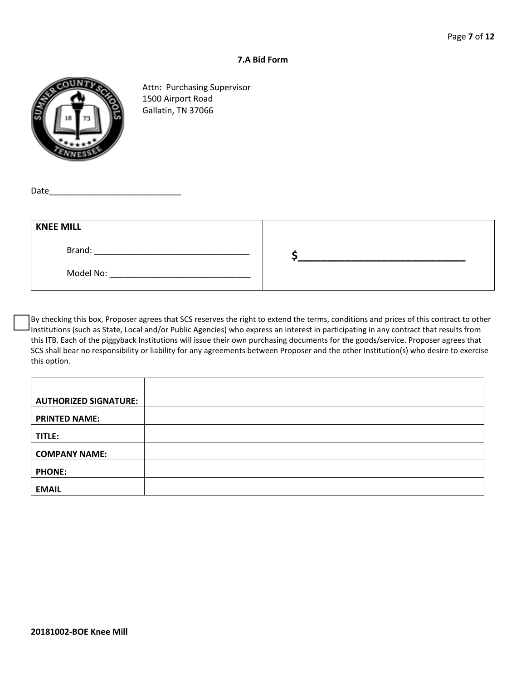#### **7.A Bid Form**



Attn: Purchasing Supervisor 1500 Airport Road Gallatin, TN 37066

Date

| <b>KNEE MILL</b> |  |
|------------------|--|
| Brand:           |  |
| Model No:        |  |

By checking this box, Proposer agrees that SCS reserves the right to extend the terms, conditions and prices of this contract to other Institutions (such as State, Local and/or Public Agencies) who express an interest in participating in any contract that results from this ITB. Each of the piggyback Institutions will issue their own purchasing documents for the goods/service. Proposer agrees that SCS shall bear no responsibility or liability for any agreements between Proposer and the other Institution(s) who desire to exercise this option.

| <b>AUTHORIZED SIGNATURE:</b> |  |
|------------------------------|--|
| <b>PRINTED NAME:</b>         |  |
| TITLE:                       |  |
| <b>COMPANY NAME:</b>         |  |
| <b>PHONE:</b>                |  |
| <b>EMAIL</b>                 |  |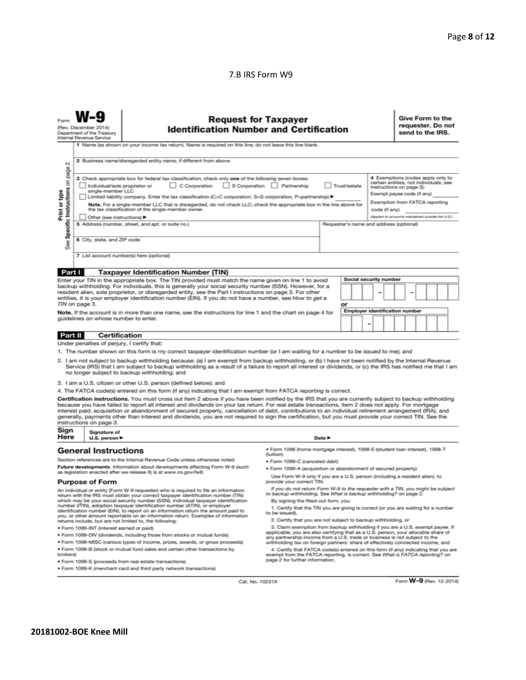#### 7.B IRS Form W9

| Form                                                                                                                                                                                                                                                                                                                                                                                                                                                                                                                                                                                                                                                                                                                                                                  | <b>Request for Taxpayer</b><br>(Rev. December 2014)<br><b>Identification Number and Certification</b><br>Department of the Treasury<br>Internal Revenue Service                                                                              |                                                                                                                                                                                                                  |                                                                                                                                                      |                                                               |                                       |  |                                                   | Give Form to the<br>requester. Do not<br>send to the IRS. |  |  |  |  |
|-----------------------------------------------------------------------------------------------------------------------------------------------------------------------------------------------------------------------------------------------------------------------------------------------------------------------------------------------------------------------------------------------------------------------------------------------------------------------------------------------------------------------------------------------------------------------------------------------------------------------------------------------------------------------------------------------------------------------------------------------------------------------|----------------------------------------------------------------------------------------------------------------------------------------------------------------------------------------------------------------------------------------------|------------------------------------------------------------------------------------------------------------------------------------------------------------------------------------------------------------------|------------------------------------------------------------------------------------------------------------------------------------------------------|---------------------------------------------------------------|---------------------------------------|--|---------------------------------------------------|-----------------------------------------------------------|--|--|--|--|
|                                                                                                                                                                                                                                                                                                                                                                                                                                                                                                                                                                                                                                                                                                                                                                       |                                                                                                                                                                                                                                              | 1 Name (as shown on your income tax return). Name is required on this line; do not leave this line blank.                                                                                                        |                                                                                                                                                      |                                                               |                                       |  |                                                   |                                                           |  |  |  |  |
| 2 Business name/disregarded entity name, if different from above<br>οi                                                                                                                                                                                                                                                                                                                                                                                                                                                                                                                                                                                                                                                                                                |                                                                                                                                                                                                                                              |                                                                                                                                                                                                                  |                                                                                                                                                      |                                                               |                                       |  |                                                   |                                                           |  |  |  |  |
| Specific Instructions on page<br>4 Exemptions (codes apply only to<br>3 Check appropriate box for federal tax classification; check only one of the following seven boxes:<br>certain entities, not individuals; see<br>C Corporation<br>S Corporation Partnership<br>Trust/estate<br>Individual/sole proprietor or<br>instructions on page 3):<br>single-member LLC<br>Print or type<br>Exempt payee code (if any)<br>  Limited liability company. Enter the tax classification (C=C corporation, S=S corporation, P=partnership) ▶<br>Exemption from FATCA reporting<br>Note. For a single-member LLC that is disregarded, do not check LLC; check the appropriate box in the line above for<br>the tax classification of the single-member owner.<br>code (if any) |                                                                                                                                                                                                                                              |                                                                                                                                                                                                                  |                                                                                                                                                      |                                                               |                                       |  |                                                   |                                                           |  |  |  |  |
|                                                                                                                                                                                                                                                                                                                                                                                                                                                                                                                                                                                                                                                                                                                                                                       | Other (see instructions)                                                                                                                                                                                                                     |                                                                                                                                                                                                                  |                                                                                                                                                      |                                                               |                                       |  | (Applies to accounts maintained outside the U.S.) |                                                           |  |  |  |  |
|                                                                                                                                                                                                                                                                                                                                                                                                                                                                                                                                                                                                                                                                                                                                                                       |                                                                                                                                                                                                                                              | 5 Address (number, street, and apt. or suite no.)                                                                                                                                                                |                                                                                                                                                      | Requester's name and address (optional)                       |                                       |  |                                                   |                                                           |  |  |  |  |
| See                                                                                                                                                                                                                                                                                                                                                                                                                                                                                                                                                                                                                                                                                                                                                                   | 6 City, state, and ZIP code                                                                                                                                                                                                                  |                                                                                                                                                                                                                  |                                                                                                                                                      |                                                               |                                       |  |                                                   |                                                           |  |  |  |  |
|                                                                                                                                                                                                                                                                                                                                                                                                                                                                                                                                                                                                                                                                                                                                                                       |                                                                                                                                                                                                                                              | 7 List account number(s) here (optional)                                                                                                                                                                         |                                                                                                                                                      |                                                               |                                       |  |                                                   |                                                           |  |  |  |  |
|                                                                                                                                                                                                                                                                                                                                                                                                                                                                                                                                                                                                                                                                                                                                                                       |                                                                                                                                                                                                                                              |                                                                                                                                                                                                                  |                                                                                                                                                      |                                                               |                                       |  |                                                   |                                                           |  |  |  |  |
| Part I                                                                                                                                                                                                                                                                                                                                                                                                                                                                                                                                                                                                                                                                                                                                                                |                                                                                                                                                                                                                                              | <b>Taxpayer Identification Number (TIN)</b>                                                                                                                                                                      |                                                                                                                                                      |                                                               | Social security number                |  |                                                   |                                                           |  |  |  |  |
|                                                                                                                                                                                                                                                                                                                                                                                                                                                                                                                                                                                                                                                                                                                                                                       |                                                                                                                                                                                                                                              | Enter your TIN in the appropriate box. The TIN provided must match the name given on line 1 to avoid<br>backup withholding. For individuals, this is generally your social security number (SSN). However, for a |                                                                                                                                                      |                                                               |                                       |  |                                                   |                                                           |  |  |  |  |
|                                                                                                                                                                                                                                                                                                                                                                                                                                                                                                                                                                                                                                                                                                                                                                       |                                                                                                                                                                                                                                              | resident alien, sole proprietor, or disregarded entity, see the Part I instructions on page 3. For other                                                                                                         |                                                                                                                                                      |                                                               |                                       |  |                                                   |                                                           |  |  |  |  |
|                                                                                                                                                                                                                                                                                                                                                                                                                                                                                                                                                                                                                                                                                                                                                                       | TIN on page 3.                                                                                                                                                                                                                               | entities, it is your employer identification number (EIN). If you do not have a number, see How to get a                                                                                                         |                                                                                                                                                      | or                                                            |                                       |  |                                                   |                                                           |  |  |  |  |
|                                                                                                                                                                                                                                                                                                                                                                                                                                                                                                                                                                                                                                                                                                                                                                       |                                                                                                                                                                                                                                              | Note. If the account is in more than one name, see the instructions for line 1 and the chart on page 4 for                                                                                                       |                                                                                                                                                      |                                                               | <b>Employer identification number</b> |  |                                                   |                                                           |  |  |  |  |
|                                                                                                                                                                                                                                                                                                                                                                                                                                                                                                                                                                                                                                                                                                                                                                       | guidelines on whose number to enter.                                                                                                                                                                                                         |                                                                                                                                                                                                                  |                                                                                                                                                      |                                                               |                                       |  |                                                   |                                                           |  |  |  |  |
|                                                                                                                                                                                                                                                                                                                                                                                                                                                                                                                                                                                                                                                                                                                                                                       |                                                                                                                                                                                                                                              |                                                                                                                                                                                                                  |                                                                                                                                                      |                                                               |                                       |  |                                                   |                                                           |  |  |  |  |
| Part II<br>Certification<br>Under penalties of perjury, I certify that:                                                                                                                                                                                                                                                                                                                                                                                                                                                                                                                                                                                                                                                                                               |                                                                                                                                                                                                                                              |                                                                                                                                                                                                                  |                                                                                                                                                      |                                                               |                                       |  |                                                   |                                                           |  |  |  |  |
|                                                                                                                                                                                                                                                                                                                                                                                                                                                                                                                                                                                                                                                                                                                                                                       |                                                                                                                                                                                                                                              | 1. The number shown on this form is my correct taxpayer identification number (or I am waiting for a number to be issued to me); and                                                                             |                                                                                                                                                      |                                                               |                                       |  |                                                   |                                                           |  |  |  |  |
|                                                                                                                                                                                                                                                                                                                                                                                                                                                                                                                                                                                                                                                                                                                                                                       |                                                                                                                                                                                                                                              |                                                                                                                                                                                                                  |                                                                                                                                                      |                                                               |                                       |  |                                                   |                                                           |  |  |  |  |
| 2. I am not subject to backup withholding because: (a) I am exempt from backup withholding, or (b) I have not been notified by the Internal Revenue<br>Service (IRS) that I am subject to backup withholding as a result of a failure to report all interest or dividends, or (c) the IRS has notified me that I am<br>no longer subject to backup withholding; and                                                                                                                                                                                                                                                                                                                                                                                                   |                                                                                                                                                                                                                                              |                                                                                                                                                                                                                  |                                                                                                                                                      |                                                               |                                       |  |                                                   |                                                           |  |  |  |  |
| 3. I am a U.S. citizen or other U.S. person (defined below); and                                                                                                                                                                                                                                                                                                                                                                                                                                                                                                                                                                                                                                                                                                      |                                                                                                                                                                                                                                              |                                                                                                                                                                                                                  |                                                                                                                                                      |                                                               |                                       |  |                                                   |                                                           |  |  |  |  |
|                                                                                                                                                                                                                                                                                                                                                                                                                                                                                                                                                                                                                                                                                                                                                                       |                                                                                                                                                                                                                                              | 4. The FATCA code(s) entered on this form (if any) indicating that I am exempt from FATCA reporting is correct.                                                                                                  |                                                                                                                                                      |                                                               |                                       |  |                                                   |                                                           |  |  |  |  |
| Certification instructions. You must cross out item 2 above if you have been notified by the IRS that you are currently subject to backup withholding<br>because you have failed to report all interest and dividends on your tax return. For real estate transactions, item 2 does not apply. For mortgage<br>interest paid, acquisition or abandonment of secured property, cancellation of debt, contributions to an individual retirement arrangement (IRA), and<br>generally, payments other than interest and dividends, you are not required to sign the certification, but you must provide your correct TIN. See the<br>instructions on page 3.                                                                                                              |                                                                                                                                                                                                                                              |                                                                                                                                                                                                                  |                                                                                                                                                      |                                                               |                                       |  |                                                   |                                                           |  |  |  |  |
| Sign<br>Here                                                                                                                                                                                                                                                                                                                                                                                                                                                                                                                                                                                                                                                                                                                                                          | Signature of<br>U.S. person $\blacktriangleright$                                                                                                                                                                                            |                                                                                                                                                                                                                  | Date P                                                                                                                                               |                                                               |                                       |  |                                                   |                                                           |  |  |  |  |
|                                                                                                                                                                                                                                                                                                                                                                                                                                                                                                                                                                                                                                                                                                                                                                       | <b>General Instructions</b>                                                                                                                                                                                                                  |                                                                                                                                                                                                                  | · Form 1098 (home mortgage interest), 1098-E (student loan interest), 1098-T<br>(tuition)                                                            |                                                               |                                       |  |                                                   |                                                           |  |  |  |  |
| Section references are to the Internal Revenue Code unless otherwise noted.<br>· Form 1099-C (canceled debt)                                                                                                                                                                                                                                                                                                                                                                                                                                                                                                                                                                                                                                                          |                                                                                                                                                                                                                                              |                                                                                                                                                                                                                  |                                                                                                                                                      |                                                               |                                       |  |                                                   |                                                           |  |  |  |  |
| Future developments. Information about developments affecting Form W-9 (such<br>· Form 1099-A (acquisition or abandonment of secured property)<br>as legislation enacted after we release it) is at www.irs.gov/fw9.                                                                                                                                                                                                                                                                                                                                                                                                                                                                                                                                                  |                                                                                                                                                                                                                                              |                                                                                                                                                                                                                  |                                                                                                                                                      |                                                               |                                       |  |                                                   |                                                           |  |  |  |  |
| Use Form W-9 only if you are a U.S. person (including a resident alien), to<br>provide your correct TIN.<br><b>Purpose of Form</b>                                                                                                                                                                                                                                                                                                                                                                                                                                                                                                                                                                                                                                    |                                                                                                                                                                                                                                              |                                                                                                                                                                                                                  |                                                                                                                                                      |                                                               |                                       |  |                                                   |                                                           |  |  |  |  |
|                                                                                                                                                                                                                                                                                                                                                                                                                                                                                                                                                                                                                                                                                                                                                                       |                                                                                                                                                                                                                                              | An individual or entity (Form W-9 requester) who is required to file an information<br>return with the IRS must obtain your correct taxpayer identification number (TIN)                                         | If you do not return Form W-9 to the requester with a TIN, you might be subject<br>to backup withholding. See What is backup withholding? on page 2. |                                                               |                                       |  |                                                   |                                                           |  |  |  |  |
|                                                                                                                                                                                                                                                                                                                                                                                                                                                                                                                                                                                                                                                                                                                                                                       |                                                                                                                                                                                                                                              | which may be your social security number (SSN), individual taxpayer identification<br>number (ITIN), adoption taxpayer identification number (ATIN), or employer                                                 | By signing the filled-out form, you:                                                                                                                 |                                                               |                                       |  |                                                   |                                                           |  |  |  |  |
|                                                                                                                                                                                                                                                                                                                                                                                                                                                                                                                                                                                                                                                                                                                                                                       |                                                                                                                                                                                                                                              | identification number (EIN), to report on an information return the amount paid to                                                                                                                               | 1. Certify that the TIN you are giving is correct (or you are waiting for a number<br>to be issued).                                                 |                                                               |                                       |  |                                                   |                                                           |  |  |  |  |
| you, or other amount reportable on an information return. Examples of information<br>returns include, but are not limited to, the following:                                                                                                                                                                                                                                                                                                                                                                                                                                                                                                                                                                                                                          |                                                                                                                                                                                                                                              |                                                                                                                                                                                                                  |                                                                                                                                                      | 2. Certify that you are not subject to backup withholding, or |                                       |  |                                                   |                                                           |  |  |  |  |
|                                                                                                                                                                                                                                                                                                                                                                                                                                                                                                                                                                                                                                                                                                                                                                       | · Form 1099-INT (interest earned or paid)                                                                                                                                                                                                    |                                                                                                                                                                                                                  | 3. Claim exemption from backup withholding if you are a U.S. exempt payee. If                                                                        |                                                               |                                       |  |                                                   |                                                           |  |  |  |  |
|                                                                                                                                                                                                                                                                                                                                                                                                                                                                                                                                                                                                                                                                                                                                                                       | applicable, you are also certifying that as a U.S. person, your allocable share of<br>. Form 1099-DIV (dividends, including those from stocks or mutual funds)<br>any partnership income from a U.S. trade or business is not subject to the |                                                                                                                                                                                                                  |                                                                                                                                                      |                                                               |                                       |  |                                                   |                                                           |  |  |  |  |

· Form 1099-MISC (various types of income, prizes, awards, or gross proceeds)

- . Form 1099-B (stock or mutual fund sales and certain other transactions by brokers)
- · Form 1099-S (proceeds from real estate transactions)

. Form 1099-K (merchant card and third party network transactions)

any partnership income from a U.S. trade or business is not subject to the withholding tax on foreign partners' share of effectively connected income, and the Centric Acceles exercise of effectively connected income, and e

Cat. No. 10231X

Form W-9 (Rev. 12-2014)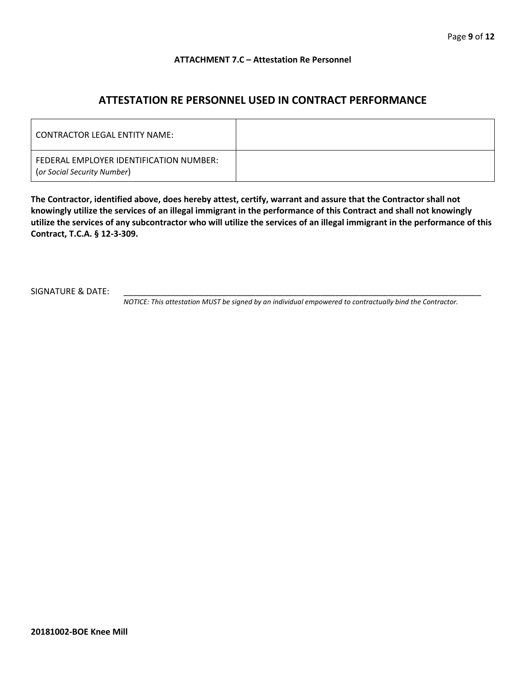#### **ATTACHMENT 7.C – Attestation Re Personnel**

## **ATTESTATION RE PERSONNEL USED IN CONTRACT PERFORMANCE**

| CONTRACTOR LEGAL ENTITY NAME:                                          |  |
|------------------------------------------------------------------------|--|
| FEDERAL EMPLOYER IDENTIFICATION NUMBER:<br>(or Social Security Number) |  |

**The Contractor, identified above, does hereby attest, certify, warrant and assure that the Contractor shall not knowingly utilize the services of an illegal immigrant in the performance of this Contract and shall not knowingly utilize the services of any subcontractor who will utilize the services of an illegal immigrant in the performance of this Contract, T.C.A. § 12-3-309.**

SIGNATURE & DATE:

*NOTICE: This attestation MUST be signed by an individual empowered to contractually bind the Contractor.*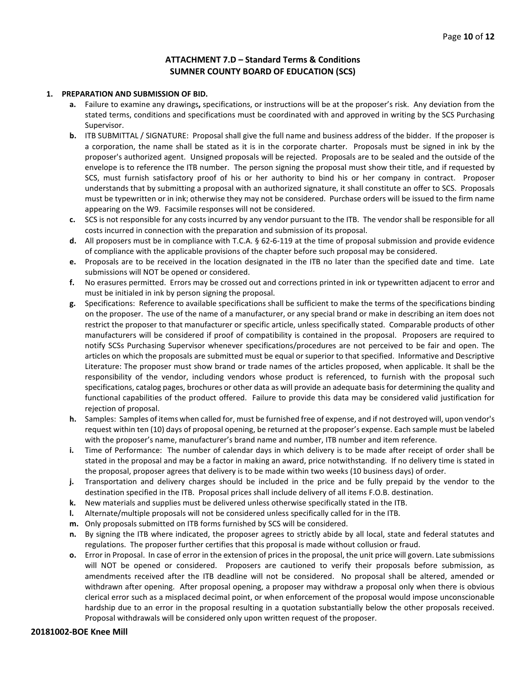#### **ATTACHMENT 7.D – Standard Terms & Conditions SUMNER COUNTY BOARD OF EDUCATION (SCS)**

#### **1. PREPARATION AND SUBMISSION OF BID.**

- **a.** Failure to examine any drawings**,** specifications, or instructions will be at the proposer's risk. Any deviation from the stated terms, conditions and specifications must be coordinated with and approved in writing by the SCS Purchasing Supervisor.
- **b.** ITB SUBMITTAL / SIGNATURE: Proposal shall give the full name and business address of the bidder. If the proposer is a corporation, the name shall be stated as it is in the corporate charter. Proposals must be signed in ink by the proposer's authorized agent. Unsigned proposals will be rejected. Proposals are to be sealed and the outside of the envelope is to reference the ITB number. The person signing the proposal must show their title, and if requested by SCS, must furnish satisfactory proof of his or her authority to bind his or her company in contract. Proposer understands that by submitting a proposal with an authorized signature, it shall constitute an offer to SCS. Proposals must be typewritten or in ink; otherwise they may not be considered. Purchase orders will be issued to the firm name appearing on the W9. Facsimile responses will not be considered.
- **c.** SCS is not responsible for any costs incurred by any vendor pursuant to the ITB. The vendor shall be responsible for all costs incurred in connection with the preparation and submission of its proposal.
- **d.** All proposers must be in compliance with T.C.A. § 62-6-119 at the time of proposal submission and provide evidence of compliance with the applicable provisions of the chapter before such proposal may be considered.
- **e.** Proposals are to be received in the location designated in the ITB no later than the specified date and time. Late submissions will NOT be opened or considered.
- **f.** No erasures permitted. Errors may be crossed out and corrections printed in ink or typewritten adjacent to error and must be initialed in ink by person signing the proposal.
- **g.** Specifications: Reference to available specifications shall be sufficient to make the terms of the specifications binding on the proposer. The use of the name of a manufacturer, or any special brand or make in describing an item does not restrict the proposer to that manufacturer or specific article, unless specifically stated. Comparable products of other manufacturers will be considered if proof of compatibility is contained in the proposal. Proposers are required to notify SCSs Purchasing Supervisor whenever specifications/procedures are not perceived to be fair and open. The articles on which the proposals are submitted must be equal or superior to that specified. Informative and Descriptive Literature: The proposer must show brand or trade names of the articles proposed, when applicable. It shall be the responsibility of the vendor, including vendors whose product is referenced, to furnish with the proposal such specifications, catalog pages, brochures or other data as will provide an adequate basis for determining the quality and functional capabilities of the product offered. Failure to provide this data may be considered valid justification for rejection of proposal.
- **h.** Samples: Samples of items when called for, must be furnished free of expense, and if not destroyed will, upon vendor's request within ten (10) days of proposal opening, be returned at the proposer's expense. Each sample must be labeled with the proposer's name, manufacturer's brand name and number, ITB number and item reference.
- **i.** Time of Performance: The number of calendar days in which delivery is to be made after receipt of order shall be stated in the proposal and may be a factor in making an award, price notwithstanding. If no delivery time is stated in the proposal, proposer agrees that delivery is to be made within two weeks (10 business days) of order.
- **j.** Transportation and delivery charges should be included in the price and be fully prepaid by the vendor to the destination specified in the ITB. Proposal prices shall include delivery of all items F.O.B. destination.
- **k.** New materials and supplies must be delivered unless otherwise specifically stated in the ITB.
- **l.** Alternate/multiple proposals will not be considered unless specifically called for in the ITB.
- **m.** Only proposals submitted on ITB forms furnished by SCS will be considered.
- **n.** By signing the ITB where indicated, the proposer agrees to strictly abide by all local, state and federal statutes and regulations. The proposer further certifies that this proposal is made without collusion or fraud.
- **o.** Error in Proposal. In case of error in the extension of prices in the proposal, the unit price will govern. Late submissions will NOT be opened or considered. Proposers are cautioned to verify their proposals before submission, as amendments received after the ITB deadline will not be considered. No proposal shall be altered, amended or withdrawn after opening. After proposal opening, a proposer may withdraw a proposal only when there is obvious clerical error such as a misplaced decimal point, or when enforcement of the proposal would impose unconscionable hardship due to an error in the proposal resulting in a quotation substantially below the other proposals received. Proposal withdrawals will be considered only upon written request of the proposer.

#### **20181002-BOE Knee Mill**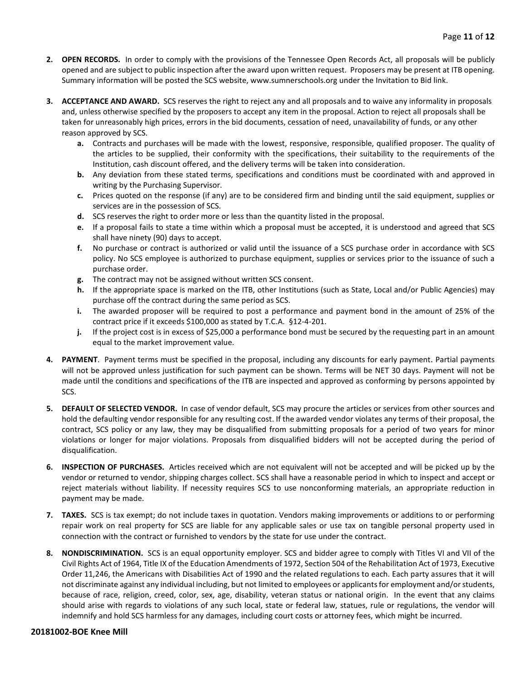- **2. OPEN RECORDS.** In order to comply with the provisions of the Tennessee Open Records Act, all proposals will be publicly opened and are subject to public inspection after the award upon written request. Proposers may be present at ITB opening. Summary information will be posted the SCS website, www.sumnerschools.org under the Invitation to Bid link.
- **3. ACCEPTANCE AND AWARD.** SCS reserves the right to reject any and all proposals and to waive any informality in proposals and, unless otherwise specified by the proposers to accept any item in the proposal. Action to reject all proposals shall be taken for unreasonably high prices, errors in the bid documents, cessation of need, unavailability of funds, or any other reason approved by SCS.
	- **a.** Contracts and purchases will be made with the lowest, responsive, responsible, qualified proposer. The quality of the articles to be supplied, their conformity with the specifications, their suitability to the requirements of the Institution, cash discount offered, and the delivery terms will be taken into consideration.
	- **b.** Any deviation from these stated terms, specifications and conditions must be coordinated with and approved in writing by the Purchasing Supervisor.
	- **c.** Prices quoted on the response (if any) are to be considered firm and binding until the said equipment, supplies or services are in the possession of SCS.
	- **d.** SCS reserves the right to order more or less than the quantity listed in the proposal.
	- **e.** If a proposal fails to state a time within which a proposal must be accepted, it is understood and agreed that SCS shall have ninety (90) days to accept.
	- **f.** No purchase or contract is authorized or valid until the issuance of a SCS purchase order in accordance with SCS policy. No SCS employee is authorized to purchase equipment, supplies or services prior to the issuance of such a purchase order.
	- **g.** The contract may not be assigned without written SCS consent.
	- **h.** If the appropriate space is marked on the ITB, other Institutions (such as State, Local and/or Public Agencies) may purchase off the contract during the same period as SCS.
	- **i.** The awarded proposer will be required to post a performance and payment bond in the amount of 25% of the contract price if it exceeds \$100,000 as stated by T.C.A. §12-4-201.
	- **j.** If the project cost is in excess of \$25,000 a performance bond must be secured by the requesting part in an amount equal to the market improvement value.
- **4. PAYMENT**. Payment terms must be specified in the proposal, including any discounts for early payment. Partial payments will not be approved unless justification for such payment can be shown. Terms will be NET 30 days. Payment will not be made until the conditions and specifications of the ITB are inspected and approved as conforming by persons appointed by SCS.
- **5. DEFAULT OF SELECTED VENDOR.** In case of vendor default, SCS may procure the articles or services from other sources and hold the defaulting vendor responsible for any resulting cost. If the awarded vendor violates any terms of their proposal, the contract, SCS policy or any law, they may be disqualified from submitting proposals for a period of two years for minor violations or longer for major violations. Proposals from disqualified bidders will not be accepted during the period of disqualification.
- **6. INSPECTION OF PURCHASES.** Articles received which are not equivalent will not be accepted and will be picked up by the vendor or returned to vendor, shipping charges collect. SCS shall have a reasonable period in which to inspect and accept or reject materials without liability. If necessity requires SCS to use nonconforming materials, an appropriate reduction in payment may be made.
- **7. TAXES.** SCS is tax exempt; do not include taxes in quotation. Vendors making improvements or additions to or performing repair work on real property for SCS are liable for any applicable sales or use tax on tangible personal property used in connection with the contract or furnished to vendors by the state for use under the contract.
- **8. NONDISCRIMINATION.** SCS is an equal opportunity employer. SCS and bidder agree to comply with Titles VI and VII of the Civil Rights Act of 1964, Title IX of the Education Amendments of 1972, Section 504 of the Rehabilitation Act of 1973, Executive Order 11,246, the Americans with Disabilities Act of 1990 and the related regulations to each. Each party assures that it will not discriminate against any individual including, but not limited to employees or applicants for employment and/or students, because of race, religion, creed, color, sex, age, disability, veteran status or national origin. In the event that any claims should arise with regards to violations of any such local, state or federal law, statues, rule or regulations, the vendor will indemnify and hold SCS harmless for any damages, including court costs or attorney fees, which might be incurred.

#### **20181002-BOE Knee Mill**